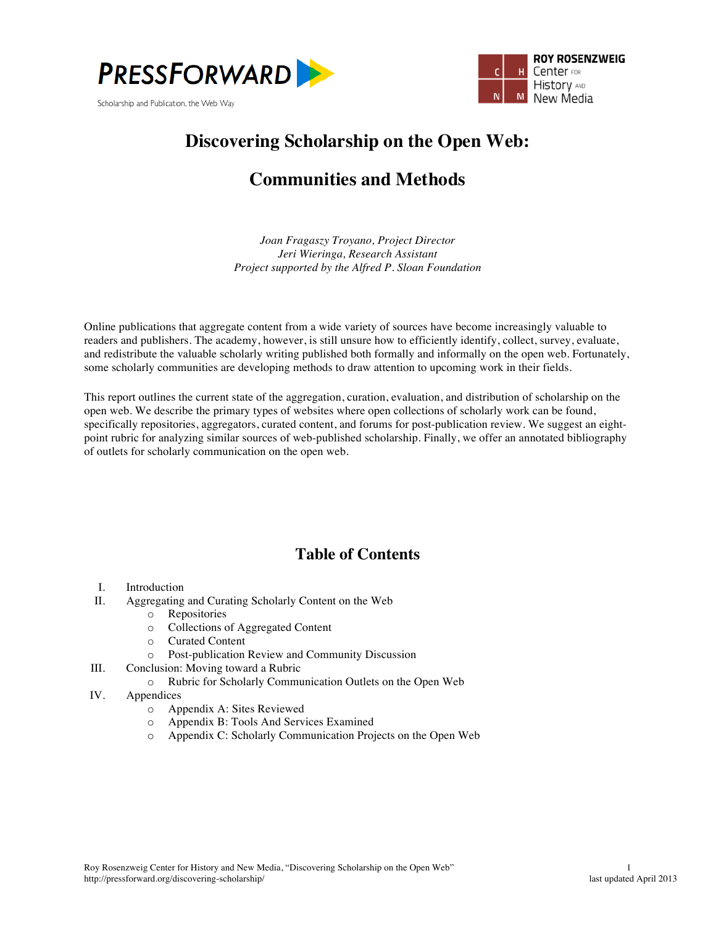



# **Discovering Scholarship on the Open Web:**

# **Communities and Methods**

*Joan Fragaszy Troyano, Project Director Jeri Wieringa, Research Assistant Project supported by the Alfred P. Sloan Foundation*

Online publications that aggregate content from a wide variety of sources have become increasingly valuable to readers and publishers. The academy, however, is still unsure how to efficiently identify, collect, survey, evaluate, and redistribute the valuable scholarly writing published both formally and informally on the open web. Fortunately, some scholarly communities are developing methods to draw attention to upcoming work in their fields.

This report outlines the current state of the aggregation, curation, evaluation, and distribution of scholarship on the open web. We describe the primary types of websites where open collections of scholarly work can be found, specifically repositories, aggregators, curated content, and forums for post-publication review. We suggest an eightpoint rubric for analyzing similar sources of web-published scholarship. Finally, we offer an annotated bibliography of outlets for scholarly communication on the open web.

### **Table of Contents**

- I. Introduction<br>II. Aggregating
- Aggregating and Curating Scholarly Content on the Web
	- o Repositories
	- o Collections of Aggregated Content
	- o Curated Content
	- o Post-publication Review and Community Discussion
- III. Conclusion: Moving toward a Rubric
	- o Rubric for Scholarly Communication Outlets on the Open Web
- IV. Appendices
	- o Appendix A: Sites Reviewed
	- o Appendix B: Tools And Services Examined
	- o Appendix C: Scholarly Communication Projects on the Open Web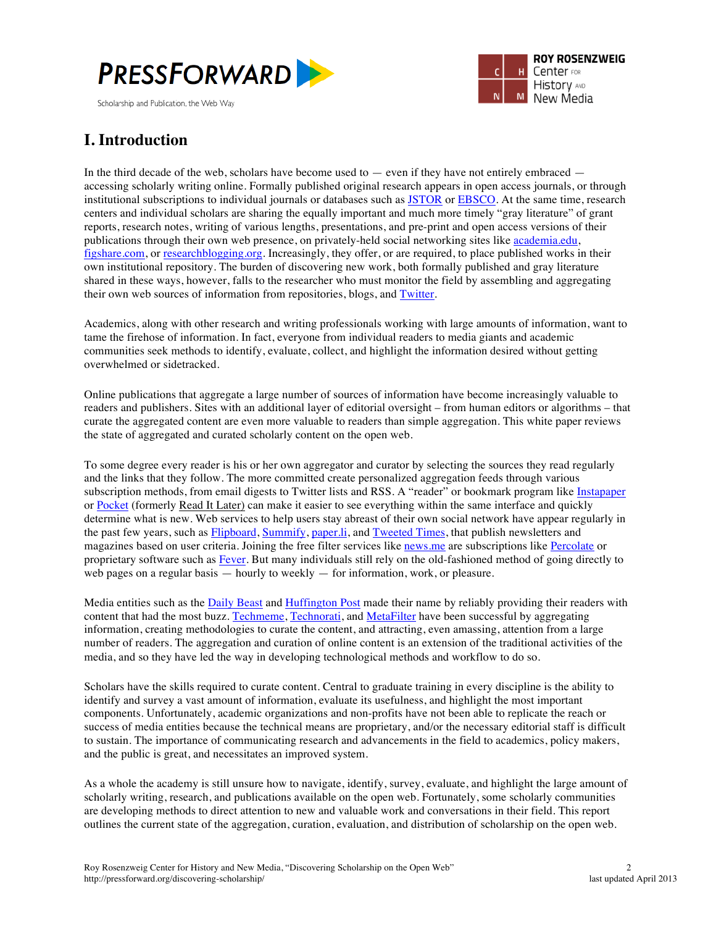



# **I. Introduction**

In the third decade of the web, scholars have become used to  $-$  even if they have not entirely embraced  $$ accessing scholarly writing online. Formally published original research appears in open access journals, or through institutional subscriptions to individual journals or databases such as JSTOR or EBSCO. At the same time, research centers and individual scholars are sharing the equally important and much more timely "gray literature" of grant reports, research notes, writing of various lengths, presentations, and pre-print and open access versions of their publications through their own web presence, on privately-held social networking sites like academia.edu, figshare.com, or researchblogging.org. Increasingly, they offer, or are required, to place published works in their own institutional repository. The burden of discovering new work, both formally published and gray literature shared in these ways, however, falls to the researcher who must monitor the field by assembling and aggregating their own web sources of information from repositories, blogs, and Twitter.

Academics, along with other research and writing professionals working with large amounts of information, want to tame the firehose of information. In fact, everyone from individual readers to media giants and academic communities seek methods to identify, evaluate, collect, and highlight the information desired without getting overwhelmed or sidetracked.

Online publications that aggregate a large number of sources of information have become increasingly valuable to readers and publishers. Sites with an additional layer of editorial oversight – from human editors or algorithms – that curate the aggregated content are even more valuable to readers than simple aggregation. This white paper reviews the state of aggregated and curated scholarly content on the open web.

To some degree every reader is his or her own aggregator and curator by selecting the sources they read regularly and the links that they follow. The more committed create personalized aggregation feeds through various subscription methods, from email digests to Twitter lists and RSS. A "reader" or bookmark program like Instapaper or Pocket (formerly Read It Later) can make it easier to see everything within the same interface and quickly determine what is new. Web services to help users stay abreast of their own social network have appear regularly in the past few years, such as Flipboard, Summify, paper.li, and Tweeted Times, that publish newsletters and magazines based on user criteria. Joining the free filter services like news.me are subscriptions like Percolate or proprietary software such as Fever. But many individuals still rely on the old-fashioned method of going directly to web pages on a regular basis — hourly to weekly — for information, work, or pleasure.

Media entities such as the Daily Beast and Huffington Post made their name by reliably providing their readers with content that had the most buzz. Techmeme, Technorati, and MetaFilter have been successful by aggregating information, creating methodologies to curate the content, and attracting, even amassing, attention from a large number of readers. The aggregation and curation of online content is an extension of the traditional activities of the media, and so they have led the way in developing technological methods and workflow to do so.

Scholars have the skills required to curate content. Central to graduate training in every discipline is the ability to identify and survey a vast amount of information, evaluate its usefulness, and highlight the most important components. Unfortunately, academic organizations and non-profits have not been able to replicate the reach or success of media entities because the technical means are proprietary, and/or the necessary editorial staff is difficult to sustain. The importance of communicating research and advancements in the field to academics, policy makers, and the public is great, and necessitates an improved system.

As a whole the academy is still unsure how to navigate, identify, survey, evaluate, and highlight the large amount of scholarly writing, research, and publications available on the open web. Fortunately, some scholarly communities are developing methods to direct attention to new and valuable work and conversations in their field. This report outlines the current state of the aggregation, curation, evaluation, and distribution of scholarship on the open web.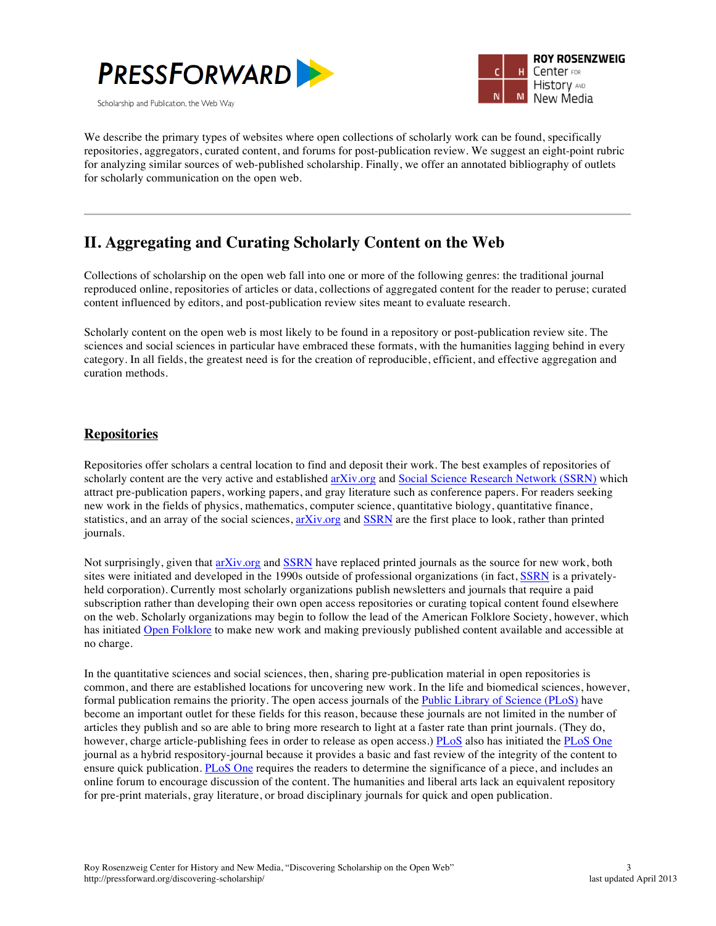



We describe the primary types of websites where open collections of scholarly work can be found, specifically repositories, aggregators, curated content, and forums for post-publication review. We suggest an eight-point rubric for analyzing similar sources of web-published scholarship. Finally, we offer an annotated bibliography of outlets for scholarly communication on the open web.

# **II. Aggregating and Curating Scholarly Content on the Web**

Collections of scholarship on the open web fall into one or more of the following genres: the traditional journal reproduced online, repositories of articles or data, collections of aggregated content for the reader to peruse; curated content influenced by editors, and post-publication review sites meant to evaluate research.

Scholarly content on the open web is most likely to be found in a repository or post-publication review site. The sciences and social sciences in particular have embraced these formats, with the humanities lagging behind in every category. In all fields, the greatest need is for the creation of reproducible, efficient, and effective aggregation and curation methods.

### **Repositories**

Repositories offer scholars a central location to find and deposit their work. The best examples of repositories of scholarly content are the very active and established arXiv.org and Social Science Research Network (SSRN) which attract pre-publication papers, working papers, and gray literature such as conference papers. For readers seeking new work in the fields of physics, mathematics, computer science, quantitative biology, quantitative finance, statistics, and an array of the social sciences, arXiv.org and SSRN are the first place to look, rather than printed journals.

Not surprisingly, given that arXiv.org and SSRN have replaced printed journals as the source for new work, both sites were initiated and developed in the 1990s outside of professional organizations (in fact, SSRN is a privatelyheld corporation). Currently most scholarly organizations publish newsletters and journals that require a paid subscription rather than developing their own open access repositories or curating topical content found elsewhere on the web. Scholarly organizations may begin to follow the lead of the American Folklore Society, however, which has initiated Open Folklore to make new work and making previously published content available and accessible at no charge.

In the quantitative sciences and social sciences, then, sharing pre-publication material in open repositories is common, and there are established locations for uncovering new work. In the life and biomedical sciences, however, formal publication remains the priority. The open access journals of the Public Library of Science (PLoS) have become an important outlet for these fields for this reason, because these journals are not limited in the number of articles they publish and so are able to bring more research to light at a faster rate than print journals. (They do, however, charge article-publishing fees in order to release as open access.) PLoS also has initiated the PLoS One journal as a hybrid respository-journal because it provides a basic and fast review of the integrity of the content to ensure quick publication. PLoS One requires the readers to determine the significance of a piece, and includes an online forum to encourage discussion of the content. The humanities and liberal arts lack an equivalent repository for pre-print materials, gray literature, or broad disciplinary journals for quick and open publication.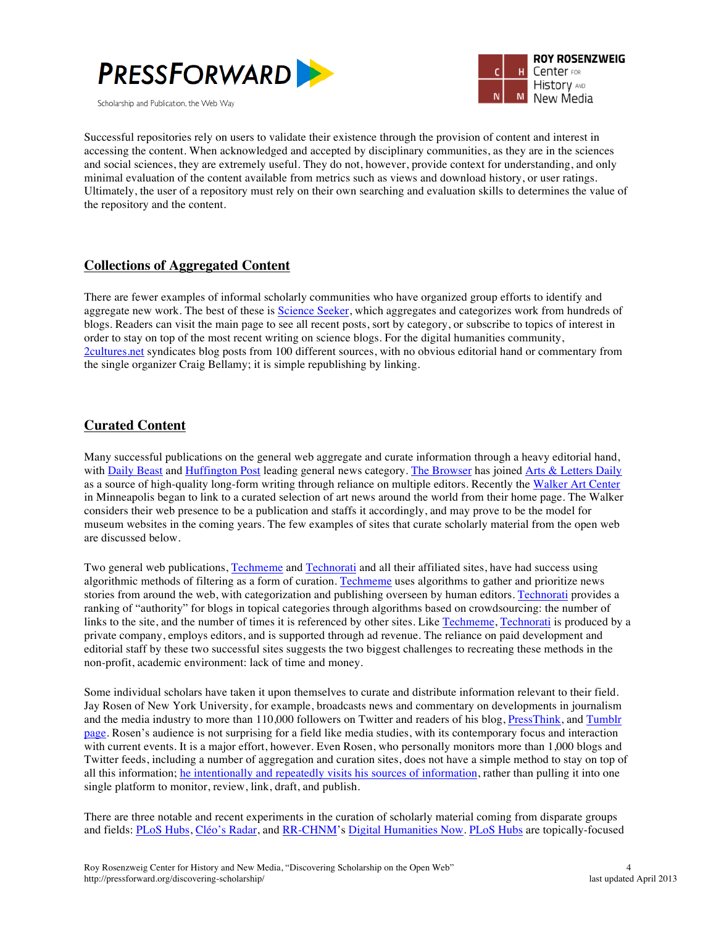



Successful repositories rely on users to validate their existence through the provision of content and interest in accessing the content. When acknowledged and accepted by disciplinary communities, as they are in the sciences and social sciences, they are extremely useful. They do not, however, provide context for understanding, and only minimal evaluation of the content available from metrics such as views and download history, or user ratings. Ultimately, the user of a repository must rely on their own searching and evaluation skills to determines the value of the repository and the content.

### **Collections of Aggregated Content**

There are fewer examples of informal scholarly communities who have organized group efforts to identify and aggregate new work. The best of these is Science Seeker, which aggregates and categorizes work from hundreds of blogs. Readers can visit the main page to see all recent posts, sort by category, or subscribe to topics of interest in order to stay on top of the most recent writing on science blogs. For the digital humanities community, 2cultures.net syndicates blog posts from 100 different sources, with no obvious editorial hand or commentary from the single organizer Craig Bellamy; it is simple republishing by linking.

### **Curated Content**

Many successful publications on the general web aggregate and curate information through a heavy editorial hand, with Daily Beast and Huffington Post leading general news category. The Browser has joined Arts & Letters Daily as a source of high-quality long-form writing through reliance on multiple editors. Recently the Walker Art Center in Minneapolis began to link to a curated selection of art news around the world from their home page. The Walker considers their web presence to be a publication and staffs it accordingly, and may prove to be the model for museum websites in the coming years. The few examples of sites that curate scholarly material from the open web are discussed below.

Two general web publications, Techmeme and Technorati and all their affiliated sites, have had success using algorithmic methods of filtering as a form of curation. Techmeme uses algorithms to gather and prioritize news stories from around the web, with categorization and publishing overseen by human editors. Technorati provides a ranking of "authority" for blogs in topical categories through algorithms based on crowdsourcing: the number of links to the site, and the number of times it is referenced by other sites. Like Techmeme, Technorati is produced by a private company, employs editors, and is supported through ad revenue. The reliance on paid development and editorial staff by these two successful sites suggests the two biggest challenges to recreating these methods in the non-profit, academic environment: lack of time and money.

Some individual scholars have taken it upon themselves to curate and distribute information relevant to their field. Jay Rosen of New York University, for example, broadcasts news and commentary on developments in journalism and the media industry to more than 110,000 followers on Twitter and readers of his blog, PressThink, and Tumblr page. Rosen's audience is not surprising for a field like media studies, with its contemporary focus and interaction with current events. It is a major effort, however. Even Rosen, who personally monitors more than 1,000 blogs and Twitter feeds, including a number of aggregation and curation sites, does not have a simple method to stay on top of all this information; he intentionally and repeatedly visits his sources of information, rather than pulling it into one single platform to monitor, review, link, draft, and publish.

There are three notable and recent experiments in the curation of scholarly material coming from disparate groups and fields: PLoS Hubs, Cléo's Radar, and RR-CHNM's Digital Humanities Now. PLoS Hubs are topically-focused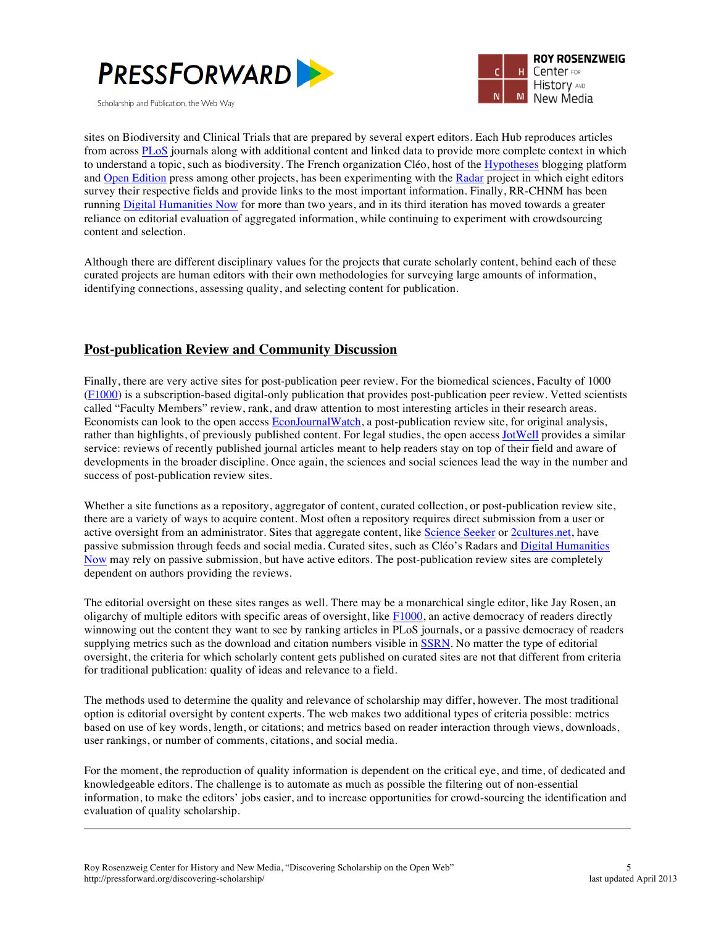



sites on Biodiversity and Clinical Trials that are prepared by several expert editors. Each Hub reproduces articles from across PLoS journals along with additional content and linked data to provide more complete context in which to understand a topic, such as biodiversity. The French organization Cléo, host of the Hypotheses blogging platform and Open Edition press among other projects, has been experimenting with the Radar project in which eight editors survey their respective fields and provide links to the most important information. Finally, RR-CHNM has been running Digital Humanities Now for more than two years, and in its third iteration has moved towards a greater reliance on editorial evaluation of aggregated information, while continuing to experiment with crowdsourcing content and selection.

Although there are different disciplinary values for the projects that curate scholarly content, behind each of these curated projects are human editors with their own methodologies for surveying large amounts of information, identifying connections, assessing quality, and selecting content for publication.

### **Post-publication Review and Community Discussion**

Finally, there are very active sites for post-publication peer review. For the biomedical sciences, Faculty of 1000 (F1000) is a subscription-based digital-only publication that provides post-publication peer review. Vetted scientists called "Faculty Members" review, rank, and draw attention to most interesting articles in their research areas. Economists can look to the open access EconJournalWatch, a post-publication review site, for original analysis, rather than highlights, of previously published content. For legal studies, the open access JotWell provides a similar service: reviews of recently published journal articles meant to help readers stay on top of their field and aware of developments in the broader discipline. Once again, the sciences and social sciences lead the way in the number and success of post-publication review sites.

Whether a site functions as a repository, aggregator of content, curated collection, or post-publication review site, there are a variety of ways to acquire content. Most often a repository requires direct submission from a user or active oversight from an administrator. Sites that aggregate content, like Science Seeker or 2cultures.net, have passive submission through feeds and social media. Curated sites, such as Cléo's Radars and Digital Humanities Now may rely on passive submission, but have active editors. The post-publication review sites are completely dependent on authors providing the reviews.

The editorial oversight on these sites ranges as well. There may be a monarchical single editor, like Jay Rosen, an oligarchy of multiple editors with specific areas of oversight, like  $F1000$ , an active democracy of readers directly winnowing out the content they want to see by ranking articles in PLoS journals, or a passive democracy of readers supplying metrics such as the download and citation numbers visible in SSRN. No matter the type of editorial oversight, the criteria for which scholarly content gets published on curated sites are not that different from criteria for traditional publication: quality of ideas and relevance to a field.

The methods used to determine the quality and relevance of scholarship may differ, however. The most traditional option is editorial oversight by content experts. The web makes two additional types of criteria possible: metrics based on use of key words, length, or citations; and metrics based on reader interaction through views, downloads, user rankings, or number of comments, citations, and social media.

For the moment, the reproduction of quality information is dependent on the critical eye, and time, of dedicated and knowledgeable editors. The challenge is to automate as much as possible the filtering out of non-essential information, to make the editors' jobs easier, and to increase opportunities for crowd-sourcing the identification and evaluation of quality scholarship.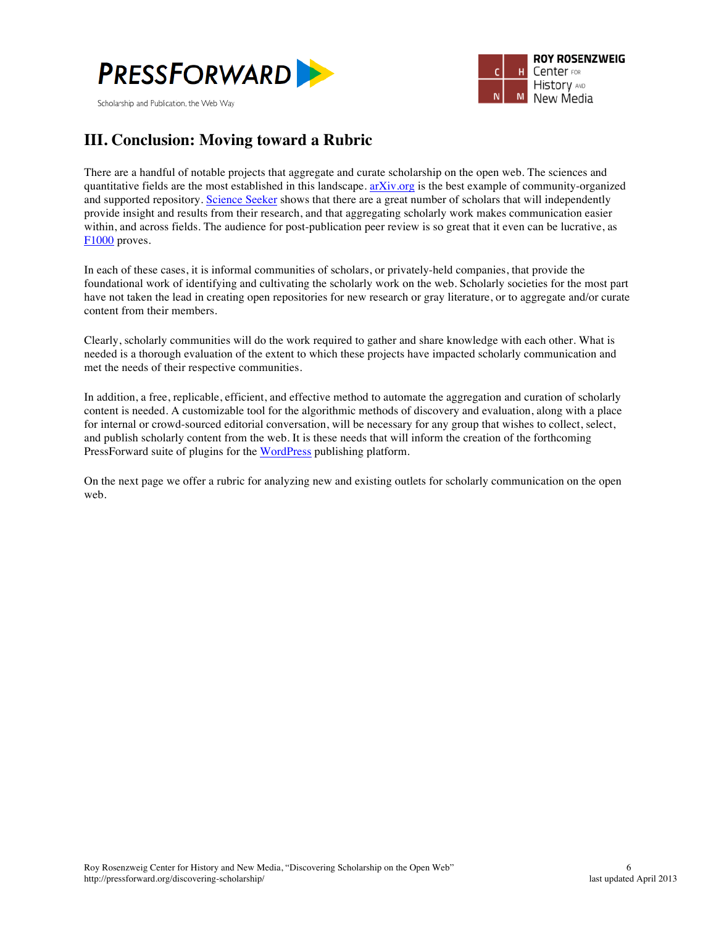



## **III. Conclusion: Moving toward a Rubric**

There are a handful of notable projects that aggregate and curate scholarship on the open web. The sciences and quantitative fields are the most established in this landscape.  $\frac{arXiv.org}{arg}$  is the best example of community-organized and supported repository. Science Seeker shows that there are a great number of scholars that will independently provide insight and results from their research, and that aggregating scholarly work makes communication easier within, and across fields. The audience for post-publication peer review is so great that it even can be lucrative, as F1000 proves.

In each of these cases, it is informal communities of scholars, or privately-held companies, that provide the foundational work of identifying and cultivating the scholarly work on the web. Scholarly societies for the most part have not taken the lead in creating open repositories for new research or gray literature, or to aggregate and/or curate content from their members.

Clearly, scholarly communities will do the work required to gather and share knowledge with each other. What is needed is a thorough evaluation of the extent to which these projects have impacted scholarly communication and met the needs of their respective communities.

In addition, a free, replicable, efficient, and effective method to automate the aggregation and curation of scholarly content is needed. A customizable tool for the algorithmic methods of discovery and evaluation, along with a place for internal or crowd-sourced editorial conversation, will be necessary for any group that wishes to collect, select, and publish scholarly content from the web. It is these needs that will inform the creation of the forthcoming PressForward suite of plugins for the WordPress publishing platform.

On the next page we offer a rubric for analyzing new and existing outlets for scholarly communication on the open web.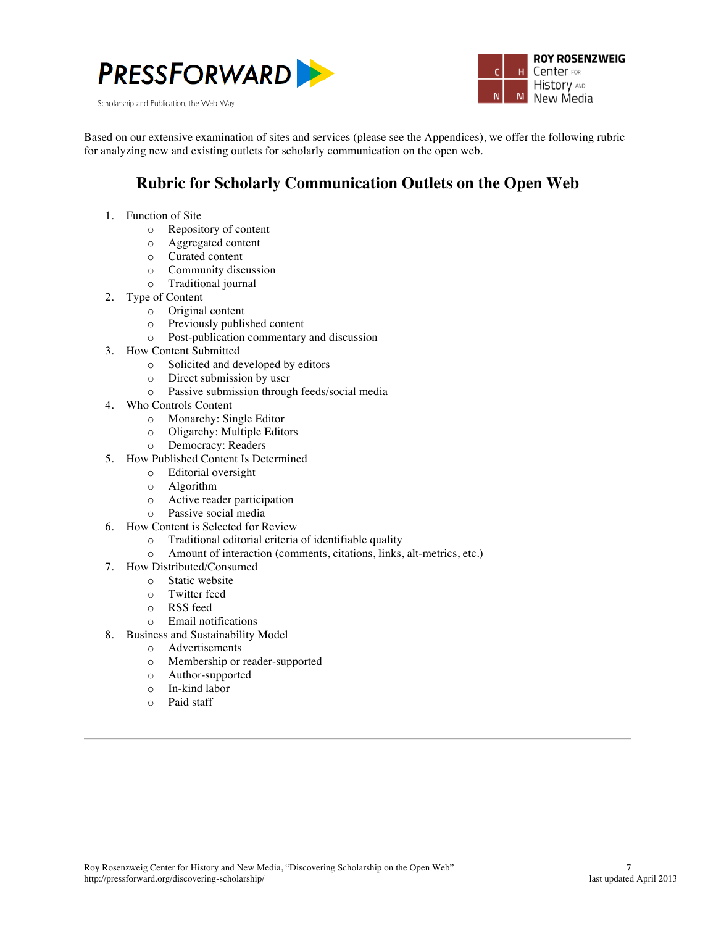





Based on our extensive examination of sites and services (please see the Appendices), we offer the following rubric for analyzing new and existing outlets for scholarly communication on the open web.

## **Rubric for Scholarly Communication Outlets on the Open Web**

- 1. Function of Site
	- o Repository of content
	- o Aggregated content
	- o Curated content
	- o Community discussion
	- o Traditional journal
- 2. Type of Content
	- o Original content
	- o Previously published content
	- o Post-publication commentary and discussion
- 3. How Content Submitted
	- o Solicited and developed by editors
	- o Direct submission by user
	- o Passive submission through feeds/social media
- 4. Who Controls Content
	- o Monarchy: Single Editor
	- o Oligarchy: Multiple Editors
	- o Democracy: Readers
- 5. How Published Content Is Determined
	- o Editorial oversight
	- o Algorithm
	- o Active reader participation
	- o Passive social media
- 6. How Content is Selected for Review
	- o Traditional editorial criteria of identifiable quality
	- o Amount of interaction (comments, citations, links, alt-metrics, etc.)
- 7. How Distributed/Consumed
	- o Static website
	- o Twitter feed
	- o RSS feed
	- o Email notifications
- 8. Business and Sustainability Model
	- o Advertisements
	- o Membership or reader-supported
	- o Author-supported
	- o In-kind labor
	- o Paid staff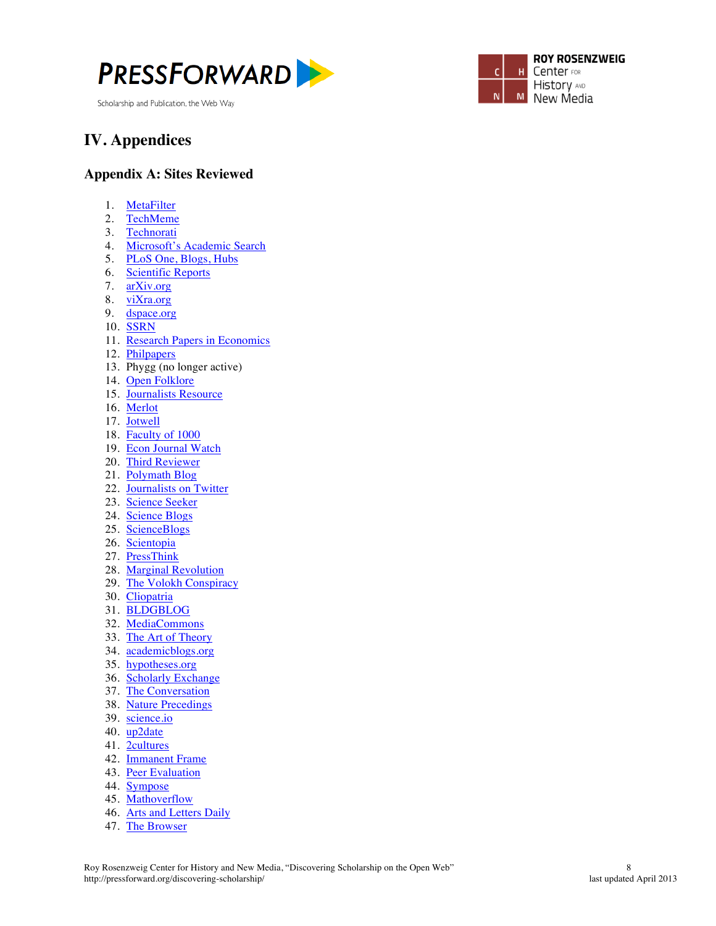



# **IV. Appendices**

#### **Appendix A: Sites Reviewed**

- 1. MetaFilter
- 2. TechMeme
- 3. Technorati
- 4. Microsoft's Academic Search
- 5. PLoS One, Blogs, Hubs
- 6. Scientific Reports
- 7. arXiv.org
- 8. viXra.org
- 9. dspace.org
- 10. SSRN
- 11. Research Papers in Economics
- 12. Philpapers
- 13. Phygg (no longer active)
- 14. Open Folklore
- 15. Journalists Resource
- 16. Merlot
- 17. Jotwell
- 18. Faculty of 1000
- 19. Econ Journal Watch
- 20. Third Reviewer
- 21. Polymath Blog
- 22. Journalists on Twitter
- 23. Science Seeker
- 24. Science Blogs
- 25. ScienceBlogs
- 26. Scientopia
- 27. PressThink
- 28. Marginal Revolution
- 29. The Volokh Conspiracy
- 30. Cliopatria
- 31. BLDGBLOG
- 32. MediaCommons
- 33. The Art of Theory
- 34. academicblogs.org
- 35. hypotheses.org
- 36. Scholarly Exchange
- 37. The Conversation
- 38. Nature Precedings
- 39. science.io
- 
- 40. up2date
- 41. 2cultures
- 42. Immanent Frame
- 43. Peer Evaluation
- 44. Sympose
- 45. Mathoverflow
- 46. Arts and Letters Daily
- 47. The Browser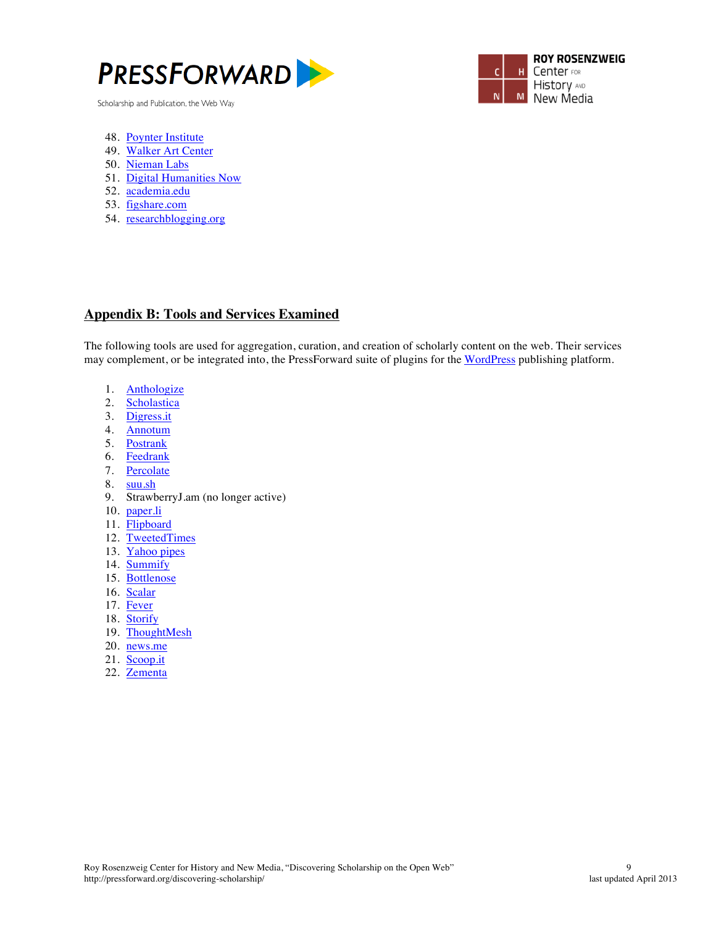



- 48. Poynter Institute
- 49. Walker Art Center
- 50. Nieman Labs
- 51. Digital Humanities Now
- 52. academia.edu
- 53. figshare.com
- 54. researchblogging.org

#### **Appendix B: Tools and Services Examined**

The following tools are used for aggregation, curation, and creation of scholarly content on the web. Their services may complement, or be integrated into, the PressForward suite of plugins for the WordPress publishing platform.

- 1. Anthologize
- 2. Scholastica
- 3. Digress.it
- 4. Annotum
- 5. Postrank
- 6. Feedrank
- 7. Percolate
- 8. suu.sh
- 9. StrawberryJ.am (no longer active)
- 10. paper.li
- 11. Flipboard
- 12. TweetedTimes
- 13. Yahoo pipes
- 14. Summify
- 15. Bottlenose
- 16. Scalar
- 17. Fever
- 18. Storify
- 19. ThoughtMesh
- 20. news.me
- 21. Scoop.it
- 22. Zementa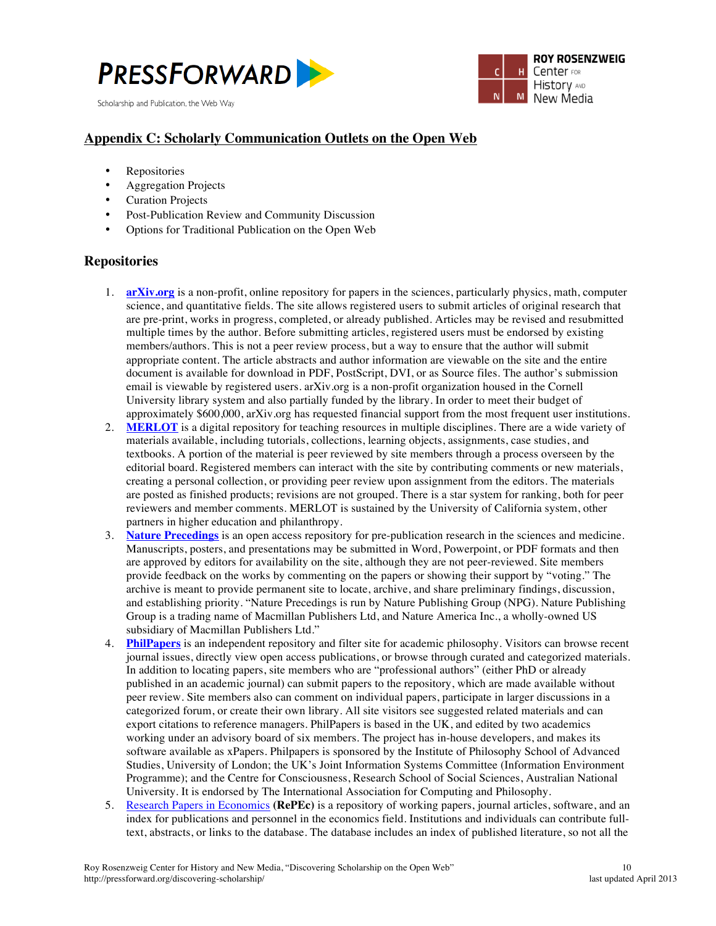



### **Appendix C: Scholarly Communication Outlets on the Open Web**

- **Repositories**
- Aggregation Projects
- Curation Projects
- Post-Publication Review and Community Discussion
- Options for Traditional Publication on the Open Web

#### **Repositories**

- 1. **arXiv.org** is a non-profit, online repository for papers in the sciences, particularly physics, math, computer science, and quantitative fields. The site allows registered users to submit articles of original research that are pre-print, works in progress, completed, or already published. Articles may be revised and resubmitted multiple times by the author. Before submitting articles, registered users must be endorsed by existing members/authors. This is not a peer review process, but a way to ensure that the author will submit appropriate content. The article abstracts and author information are viewable on the site and the entire document is available for download in PDF, PostScript, DVI, or as Source files. The author's submission email is viewable by registered users. arXiv.org is a non-profit organization housed in the Cornell University library system and also partially funded by the library. In order to meet their budget of approximately \$600,000, arXiv.org has requested financial support from the most frequent user institutions.
- 2. **MERLOT** is a digital repository for teaching resources in multiple disciplines. There are a wide variety of materials available, including tutorials, collections, learning objects, assignments, case studies, and textbooks. A portion of the material is peer reviewed by site members through a process overseen by the editorial board. Registered members can interact with the site by contributing comments or new materials, creating a personal collection, or providing peer review upon assignment from the editors. The materials are posted as finished products; revisions are not grouped. There is a star system for ranking, both for peer reviewers and member comments. MERLOT is sustained by the University of California system, other partners in higher education and philanthropy.
- 3. **Nature Precedings** is an open access repository for pre-publication research in the sciences and medicine. Manuscripts, posters, and presentations may be submitted in Word, Powerpoint, or PDF formats and then are approved by editors for availability on the site, although they are not peer-reviewed. Site members provide feedback on the works by commenting on the papers or showing their support by "voting." The archive is meant to provide permanent site to locate, archive, and share preliminary findings, discussion, and establishing priority. "Nature Precedings is run by Nature Publishing Group (NPG). Nature Publishing Group is a trading name of Macmillan Publishers Ltd, and Nature America Inc., a wholly-owned US subsidiary of Macmillan Publishers Ltd."
- 4. **PhilPapers** is an independent repository and filter site for academic philosophy. Visitors can browse recent journal issues, directly view open access publications, or browse through curated and categorized materials. In addition to locating papers, site members who are "professional authors" (either PhD or already published in an academic journal) can submit papers to the repository, which are made available without peer review. Site members also can comment on individual papers, participate in larger discussions in a categorized forum, or create their own library. All site visitors see suggested related materials and can export citations to reference managers. PhilPapers is based in the UK, and edited by two academics working under an advisory board of six members. The project has in-house developers, and makes its software available as xPapers. Philpapers is sponsored by the Institute of Philosophy School of Advanced Studies, University of London; the UK's Joint Information Systems Committee (Information Environment Programme); and the Centre for Consciousness, Research School of Social Sciences, Australian National University. It is endorsed by The International Association for Computing and Philosophy.
- 5. Research Papers in Economics **(RePEc)** is a repository of working papers, journal articles, software, and an index for publications and personnel in the economics field. Institutions and individuals can contribute fulltext, abstracts, or links to the database. The database includes an index of published literature, so not all the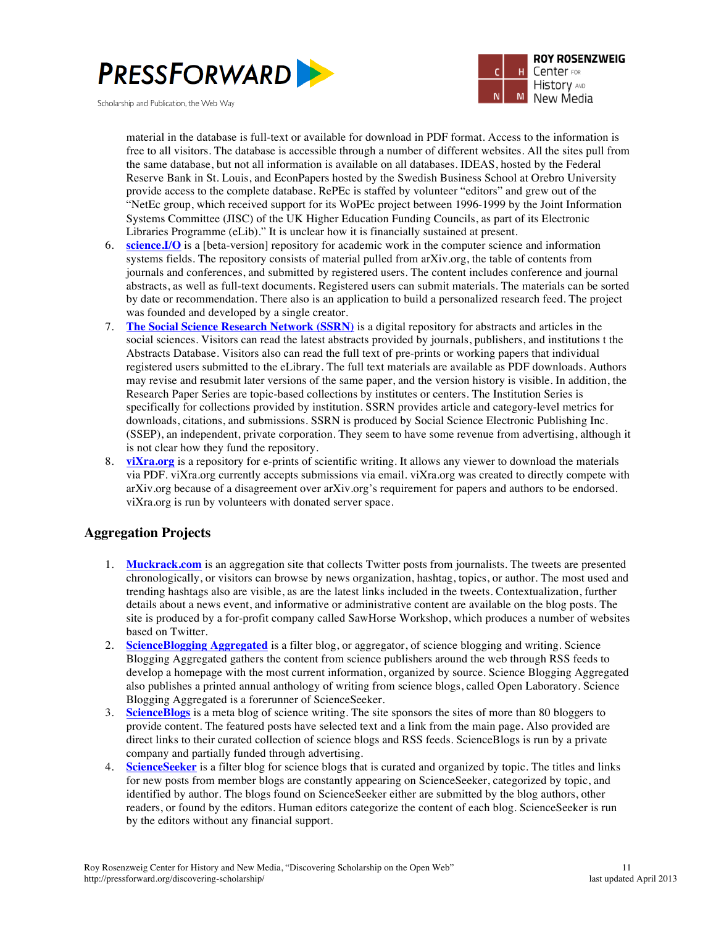



material in the database is full-text or available for download in PDF format. Access to the information is free to all visitors. The database is accessible through a number of different websites. All the sites pull from the same database, but not all information is available on all databases. IDEAS, hosted by the Federal Reserve Bank in St. Louis, and EconPapers hosted by the Swedish Business School at Orebro University provide access to the complete database. RePEc is staffed by volunteer "editors" and grew out of the "NetEc group, which received support for its WoPEc project between 1996-1999 by the Joint Information Systems Committee (JISC) of the UK Higher Education Funding Councils, as part of its Electronic Libraries Programme (eLib)." It is unclear how it is financially sustained at present.

- 6. **science.I/O** is a [beta-version] repository for academic work in the computer science and information systems fields. The repository consists of material pulled from arXiv.org, the table of contents from journals and conferences, and submitted by registered users. The content includes conference and journal abstracts, as well as full-text documents. Registered users can submit materials. The materials can be sorted by date or recommendation. There also is an application to build a personalized research feed. The project was founded and developed by a single creator.
- 7. **The Social Science Research Network (SSRN)** is a digital repository for abstracts and articles in the social sciences. Visitors can read the latest abstracts provided by journals, publishers, and institutions t the Abstracts Database. Visitors also can read the full text of pre-prints or working papers that individual registered users submitted to the eLibrary. The full text materials are available as PDF downloads. Authors may revise and resubmit later versions of the same paper, and the version history is visible. In addition, the Research Paper Series are topic-based collections by institutes or centers. The Institution Series is specifically for collections provided by institution. SSRN provides article and category-level metrics for downloads, citations, and submissions. SSRN is produced by Social Science Electronic Publishing Inc. (SSEP), an independent, private corporation. They seem to have some revenue from advertising, although it is not clear how they fund the repository.
- 8. **viXra.org** is a repository for e-prints of scientific writing. It allows any viewer to download the materials via PDF. viXra.org currently accepts submissions via email. viXra.org was created to directly compete with arXiv.org because of a disagreement over arXiv.org's requirement for papers and authors to be endorsed. viXra.org is run by volunteers with donated server space.

### **Aggregation Projects**

- 1. **Muckrack.com** is an aggregation site that collects Twitter posts from journalists. The tweets are presented chronologically, or visitors can browse by news organization, hashtag, topics, or author. The most used and trending hashtags also are visible, as are the latest links included in the tweets. Contextualization, further details about a news event, and informative or administrative content are available on the blog posts. The site is produced by a for-profit company called SawHorse Workshop, which produces a number of websites based on Twitter.
- 2. **ScienceBlogging Aggregated** is a filter blog, or aggregator, of science blogging and writing. Science Blogging Aggregated gathers the content from science publishers around the web through RSS feeds to develop a homepage with the most current information, organized by source. Science Blogging Aggregated also publishes a printed annual anthology of writing from science blogs, called Open Laboratory. Science Blogging Aggregated is a forerunner of ScienceSeeker.
- 3. **ScienceBlogs** is a meta blog of science writing. The site sponsors the sites of more than 80 bloggers to provide content. The featured posts have selected text and a link from the main page. Also provided are direct links to their curated collection of science blogs and RSS feeds. ScienceBlogs is run by a private company and partially funded through advertising.
- 4. **ScienceSeeker** is a filter blog for science blogs that is curated and organized by topic. The titles and links for new posts from member blogs are constantly appearing on ScienceSeeker, categorized by topic, and identified by author. The blogs found on ScienceSeeker either are submitted by the blog authors, other readers, or found by the editors. Human editors categorize the content of each blog. ScienceSeeker is run by the editors without any financial support.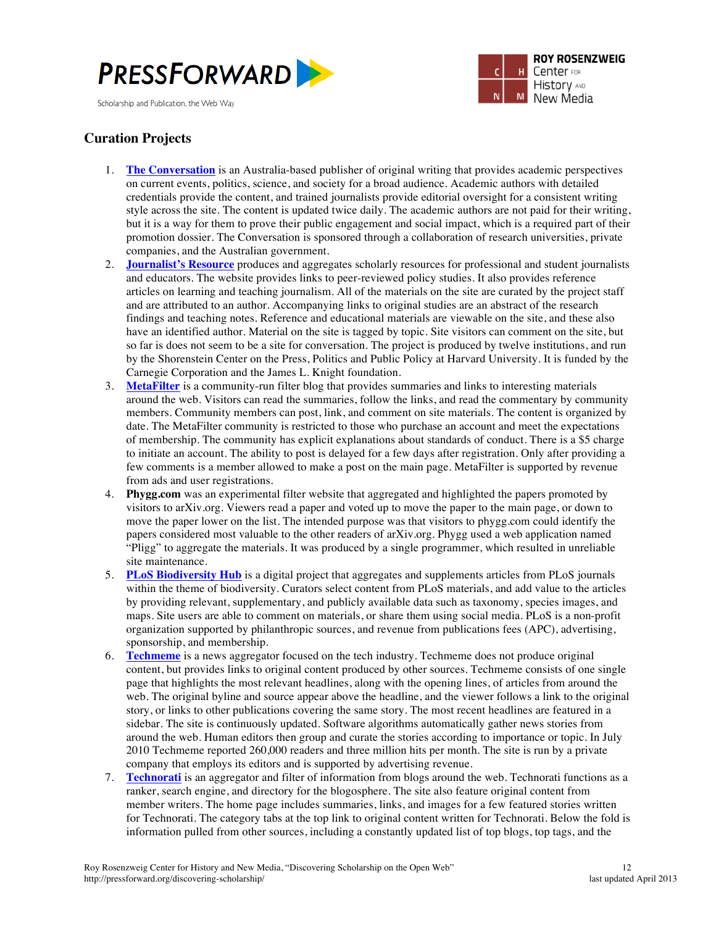



### **Curation Projects**

- 1. **The Conversation** is an Australia-based publisher of original writing that provides academic perspectives on current events, politics, science, and society for a broad audience. Academic authors with detailed credentials provide the content, and trained journalists provide editorial oversight for a consistent writing style across the site. The content is updated twice daily. The academic authors are not paid for their writing, but it is a way for them to prove their public engagement and social impact, which is a required part of their promotion dossier. The Conversation is sponsored through a collaboration of research universities, private companies, and the Australian government.
- 2. **Journalist's Resource** produces and aggregates scholarly resources for professional and student journalists and educators. The website provides links to peer-reviewed policy studies. It also provides reference articles on learning and teaching journalism. All of the materials on the site are curated by the project staff and are attributed to an author. Accompanying links to original studies are an abstract of the research findings and teaching notes. Reference and educational materials are viewable on the site, and these also have an identified author. Material on the site is tagged by topic. Site visitors can comment on the site, but so far is does not seem to be a site for conversation. The project is produced by twelve institutions, and run by the Shorenstein Center on the Press, Politics and Public Policy at Harvard University. It is funded by the Carnegie Corporation and the James L. Knight foundation.
- 3. **MetaFilter** is a community-run filter blog that provides summaries and links to interesting materials around the web. Visitors can read the summaries, follow the links, and read the commentary by community members. Community members can post, link, and comment on site materials. The content is organized by date. The MetaFilter community is restricted to those who purchase an account and meet the expectations of membership. The community has explicit explanations about standards of conduct. There is a \$5 charge to initiate an account. The ability to post is delayed for a few days after registration. Only after providing a few comments is a member allowed to make a post on the main page. MetaFilter is supported by revenue from ads and user registrations.
- 4. **Phygg.com** was an experimental filter website that aggregated and highlighted the papers promoted by visitors to arXiv.org. Viewers read a paper and voted up to move the paper to the main page, or down to move the paper lower on the list. The intended purpose was that visitors to phygg.com could identify the papers considered most valuable to the other readers of arXiv.org. Phygg used a web application named "Pligg" to aggregate the materials. It was produced by a single programmer, which resulted in unreliable site maintenance.
- 5. **PLoS Biodiversity Hub** is a digital project that aggregates and supplements articles from PLoS journals within the theme of biodiversity. Curators select content from PLoS materials, and add value to the articles by providing relevant, supplementary, and publicly available data such as taxonomy, species images, and maps. Site users are able to comment on materials, or share them using social media. PLoS is a non-profit organization supported by philanthropic sources, and revenue from publications fees (APC), advertising, sponsorship, and membership.
- 6. **Techmeme** is a news aggregator focused on the tech industry. Techmeme does not produce original content, but provides links to original content produced by other sources. Techmeme consists of one single page that highlights the most relevant headlines, along with the opening lines, of articles from around the web. The original byline and source appear above the headline, and the viewer follows a link to the original story, or links to other publications covering the same story. The most recent headlines are featured in a sidebar. The site is continuously updated. Software algorithms automatically gather news stories from around the web. Human editors then group and curate the stories according to importance or topic. In July 2010 Techmeme reported 260,000 readers and three million hits per month. The site is run by a private company that employs its editors and is supported by advertising revenue.
- 7. **Technorati** is an aggregator and filter of information from blogs around the web. Technorati functions as a ranker, search engine, and directory for the blogosphere. The site also feature original content from member writers. The home page includes summaries, links, and images for a few featured stories written for Technorati. The category tabs at the top link to original content written for Technorati. Below the fold is information pulled from other sources, including a constantly updated list of top blogs, top tags, and the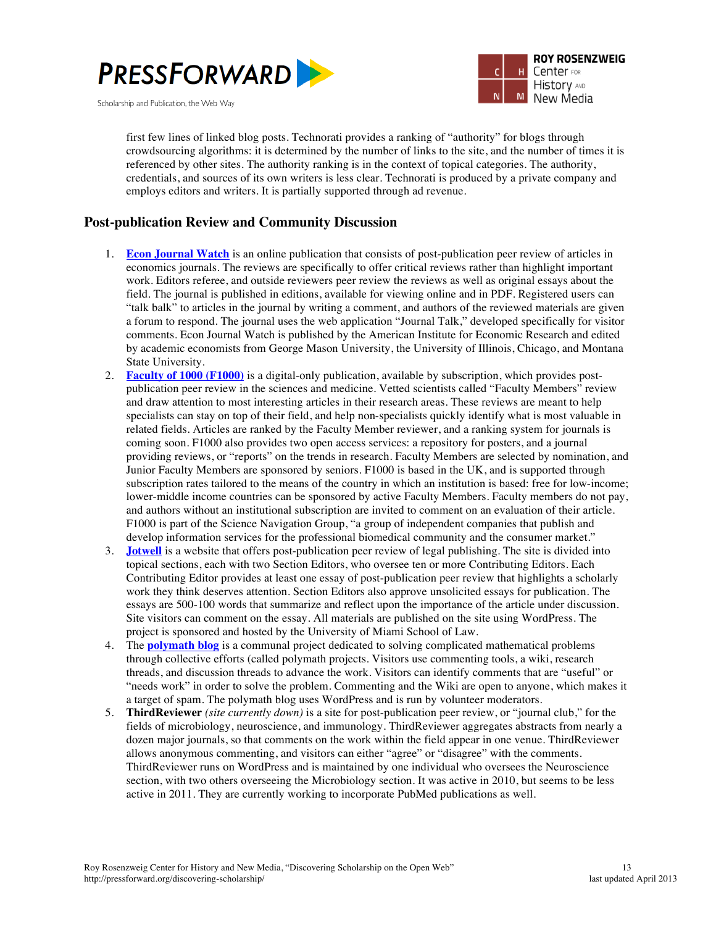



first few lines of linked blog posts. Technorati provides a ranking of "authority" for blogs through crowdsourcing algorithms: it is determined by the number of links to the site, and the number of times it is referenced by other sites. The authority ranking is in the context of topical categories. The authority, credentials, and sources of its own writers is less clear. Technorati is produced by a private company and employs editors and writers. It is partially supported through ad revenue.

#### **Post-publication Review and Community Discussion**

- 1. **Econ Journal Watch** is an online publication that consists of post-publication peer review of articles in economics journals. The reviews are specifically to offer critical reviews rather than highlight important work. Editors referee, and outside reviewers peer review the reviews as well as original essays about the field. The journal is published in editions, available for viewing online and in PDF. Registered users can "talk balk" to articles in the journal by writing a comment, and authors of the reviewed materials are given a forum to respond. The journal uses the web application "Journal Talk," developed specifically for visitor comments. Econ Journal Watch is published by the American Institute for Economic Research and edited by academic economists from George Mason University, the University of Illinois, Chicago, and Montana State University.
- 2. **Faculty of 1000 (F1000)** is a digital-only publication, available by subscription, which provides postpublication peer review in the sciences and medicine. Vetted scientists called "Faculty Members" review and draw attention to most interesting articles in their research areas. These reviews are meant to help specialists can stay on top of their field, and help non-specialists quickly identify what is most valuable in related fields. Articles are ranked by the Faculty Member reviewer, and a ranking system for journals is coming soon. F1000 also provides two open access services: a repository for posters, and a journal providing reviews, or "reports" on the trends in research. Faculty Members are selected by nomination, and Junior Faculty Members are sponsored by seniors. F1000 is based in the UK, and is supported through subscription rates tailored to the means of the country in which an institution is based: free for low-income; lower-middle income countries can be sponsored by active Faculty Members. Faculty members do not pay, and authors without an institutional subscription are invited to comment on an evaluation of their article. F1000 is part of the Science Navigation Group, "a group of independent companies that publish and develop information services for the professional biomedical community and the consumer market."
- 3. **Jotwell** is a website that offers post-publication peer review of legal publishing. The site is divided into topical sections, each with two Section Editors, who oversee ten or more Contributing Editors. Each Contributing Editor provides at least one essay of post-publication peer review that highlights a scholarly work they think deserves attention. Section Editors also approve unsolicited essays for publication. The essays are 500-100 words that summarize and reflect upon the importance of the article under discussion. Site visitors can comment on the essay. All materials are published on the site using WordPress. The project is sponsored and hosted by the University of Miami School of Law.
- 4. The **polymath blog** is a communal project dedicated to solving complicated mathematical problems through collective efforts (called polymath projects. Visitors use commenting tools, a wiki, research threads, and discussion threads to advance the work. Visitors can identify comments that are "useful" or "needs work" in order to solve the problem. Commenting and the Wiki are open to anyone, which makes it a target of spam. The polymath blog uses WordPress and is run by volunteer moderators.
- 5. **ThirdReviewer** *(site currently down)* is a site for post-publication peer review, or "journal club," for the fields of microbiology, neuroscience, and immunology. ThirdReviewer aggregates abstracts from nearly a dozen major journals, so that comments on the work within the field appear in one venue. ThirdReviewer allows anonymous commenting, and visitors can either "agree" or "disagree" with the comments. ThirdReviewer runs on WordPress and is maintained by one individual who oversees the Neuroscience section, with two others overseeing the Microbiology section. It was active in 2010, but seems to be less active in 2011. They are currently working to incorporate PubMed publications as well.